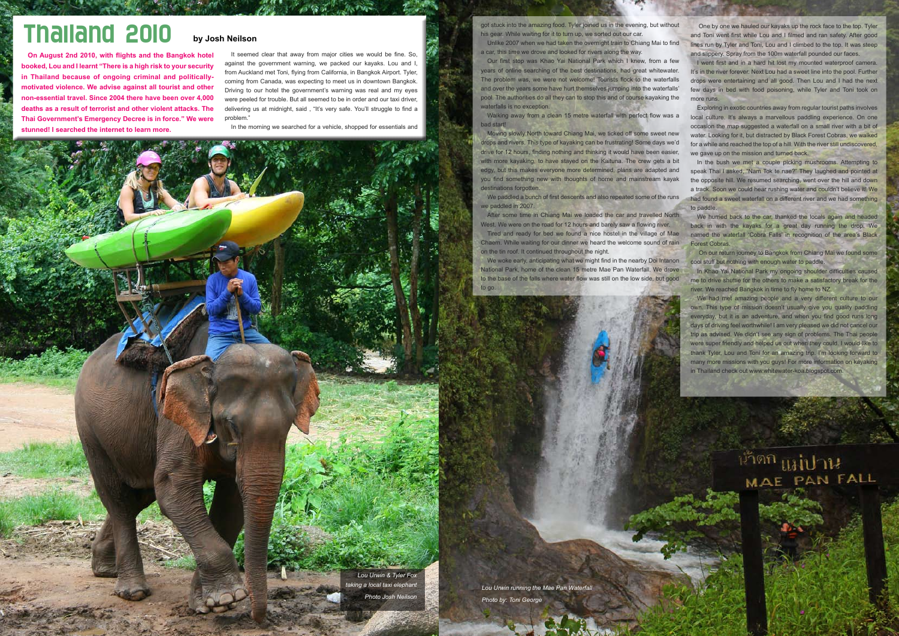## Thailand 2010

**On August 2nd 2010, with flights and the Bangkok hotel booked, Lou and I learnt "There is a high risk to your security in Thailand because of ongoing criminal and politicallymotivated violence. We advise against all tourist and other non-essential travel. Since 2004 there have been over 4,000 deaths as a result of terrorist and other violent attacks. The Thai Government's Emergency Decree is in force." We were stunned! I searched the internet to learn more.** 

It seemed clear that away from major cities we would be fine. So, against the government warning, we packed our kayaks. Lou and I, from Auckland met Toni, flying from California, in Bangkok Airport. Tyler, coming from Canada, was expecting to meet us in downtown Bangkok. Driving to our hotel the government's warning was real and my eyes were peeled for trouble. But all seemed to be in order and our taxi driver, delivering us at midnight, said , "It's very safe. You'll struggle to find a problem."

In the morning we searched for a vehicle, shopped for essentials and

*Lou Urwin & Tyler Fox taking a local taxi elephant Photo Josh Neilson*

#### **by Josh Neilson**

got stuck into the amazing food. Tyler joined us in the evening, but without his gear. While waiting for it to turn up, we sorted out our car.

We paddled a bunch of first descents and also repeated some of the runs we paddled in 2007.

After some time in Chiang Mai we loaded the car and travelled North West. We were on the road for 12 hours and barely saw a flowing river.

Unlike 2007 when we had taken the overnight train to Chiang Mai to find a car, this time we drove and looked for rivers along the way.

We woke early, anticipating what we might find in the nearby Doi Intanon National Park, home of the clean 15 metre Mae Pan Waterfall. We drove to the base of the falls where water flow was still on the low side, but good to go.

Our first stop was Khao Yai National Park which I knew, from a few years of online searching of the best destinations, had great whitewater. The problem was, we were not welcome! Tourists flock to the waterfalls and over the years some have hurt themselves jumping into the waterfalls' pool. The authorities do all they can to stop this and of course kayaking the waterfalls is no exception.

Walking away from a clean 15 metre waterfall with perfect flow was a bad start!

Moving slowly North toward Chiang Mai, we ticked off some sweet new drops and rivers. This type of kayaking can be frustrating! Some days we'd drive for 12 hours, finding nothing and thinking it would have been easier, with more kayaking, to have stayed on the Kaituna. The crew gets a bit edgy, but this makes everyone more determined, plans are adapted and you find something new with thoughts of home and mainstream kayak destinations forgotten.

> We hurried back to the car, thanked the locals again and headed back in with the kayaks for a great day running the drop. We named the waterfall 'Cobra Falls' in recognition of the area's Black Forest Cobras.

Tired and ready for bed we found a nice hostel in the village of Mae Chaem. While waiting for our dinner we heard the welcome sound of rain on the tin roof. It continued throughout the night.

 One by one we hauled our kayaks up the rock face to the top. Tyler and Toni went first while Lou and I filmed and ran safety. After good lines run by Tyler and Toni, Lou and I climbed to the top. It was steep and slippery. Spray from the 100m waterfall pounded our faces.

I went first and in a hard hit lost my mounted waterproof camera. It's in the river forever. Next Lou had a sweet line into the pool. Further drops were entertaining and all good. Then Lou and I had the next few days in bed with food poisoning, while Tyler and Toni took on more runs.

Exploring in exotic countries away from regular tourist paths involves local culture. It's always a marvellous paddling experience. On one occasion the map suggested a waterfall on a small river with a bit of water. Looking for it, but distracted by Black Forest Cobras, we walked for a while and reached the top of a hill. With the river still undiscovered, we gave up on the mission and turned back.

In the bush we met a couple picking mushrooms. Attempting to speak Thai I asked, "Nam Tok te nae?" They laughed and pointed at the opposite hill. We resumed searching, went over the hill and down a track. Soon we could hear rushing water and couldn't believe it! We had found a sweet waterfall on a different river and we had something to paddle.

 On our return journey to Bangkok from Chiang Mai we found some cool stuff but nothing with enough water to paddle.

In Khao Yai National Park my ongoing shoulder difficulties caused me to drive shuttle for the others to make a satisfactory break for the river. We reached Bangkok in time to fly home to NZ.

We had met amazing people and a very different culture to our own. This type of mission doesn't usually give you quality paddling everyday, but it is an adventure, and when you find good runs long days of driving feel worthwhile! I am very pleased we did not cancel our trip as advised. We didn't see any sign of problems. The Thai people were super friendly and helped us out when they could. I would like to thank Tyler, Lou and Toni for an amazing trip. I'm looking forward to many more missions with you guys! For more information on kayaking in Thailand check out www.whitewater-koa.blogspot.com.

## น้ำตก <sub>แม่ปาน</sub> MAE PAN FALL

*Lou Urwin running the Mae Pan Waterfall Photo by: Toni George*